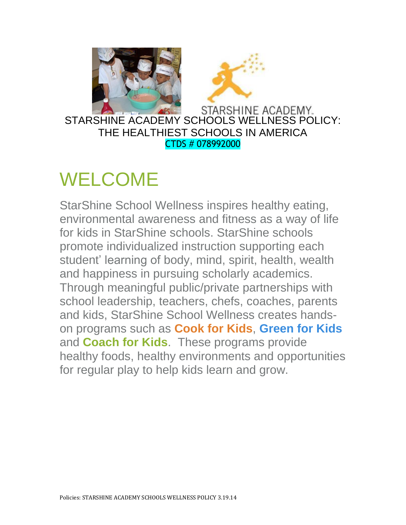



STARSHINE ACADEMY SCHOOLS WELLNESS POLICY: THE HEALTHIEST SCHOOLS IN AMERICA CTDS # 078992000

### WELCOME

StarShine School Wellness inspires healthy eating, environmental awareness and fitness as a way of life for kids in StarShine schools. StarShine schools promote individualized instruction supporting each student' learning of body, mind, spirit, health, wealth and happiness in pursuing scholarly academics. Through meaningful public/private partnerships with school leadership, teachers, chefs, coaches, parents and kids, StarShine School Wellness creates handson programs such as **[Cook for Kids](http://wellnessintheschools.org/index.php?option=com_content&view=article&id=3&Itemid=17)**, **[Green for Kids](http://wellnessintheschools.org/index.php?option=com_content&view=article&id=7&Itemid=18)** and **[Coach for Kids](http://wellnessintheschools.org/index.php?option=com_content&view=article&id=11&Itemid=21)**. These programs provide healthy foods, healthy environments and opportunities for regular play to help kids learn and grow.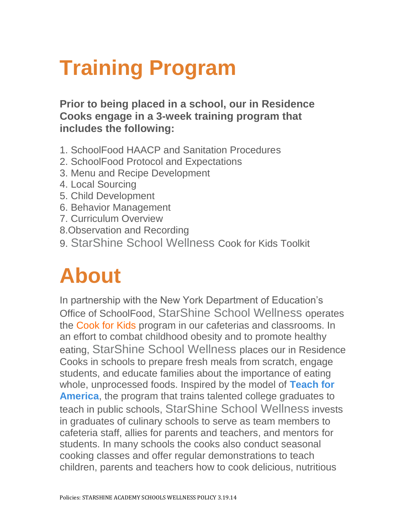# **Training Program**

**Prior to being placed in a school, our in Residence Cooks engage in a 3-week training program that includes the following:**

- 1. SchoolFood HAACP and Sanitation Procedures
- 2. SchoolFood Protocol and Expectations
- 3. Menu and Recipe Development
- 4. Local Sourcing
- 5. Child Development
- 6. Behavior Management
- 7. Curriculum Overview
- 8.Observation and Recording
- 9. StarShine School Wellness Cook for Kids Toolkit

## **About**

In partnership with the New York Department of Education's Office of SchoolFood, StarShine School Wellness operates the Cook for Kids program in our cafeterias and classrooms. In an effort to combat childhood obesity and to promote healthy eating, StarShine School Wellness places our in Residence Cooks in schools to prepare fresh meals from scratch, engage students, and educate families about the importance of eating whole, unprocessed foods. Inspired by the model of **[Teach for](http://www.teachforamerica.org/)  [America](http://www.teachforamerica.org/)**, the program that trains talented college graduates to teach in public schools, StarShine School Wellness invests in graduates of culinary schools to serve as team members to cafeteria staff, allies for parents and teachers, and mentors for students. In many schools the cooks also conduct seasonal cooking classes and offer regular demonstrations to teach children, parents and teachers how to cook delicious, nutritious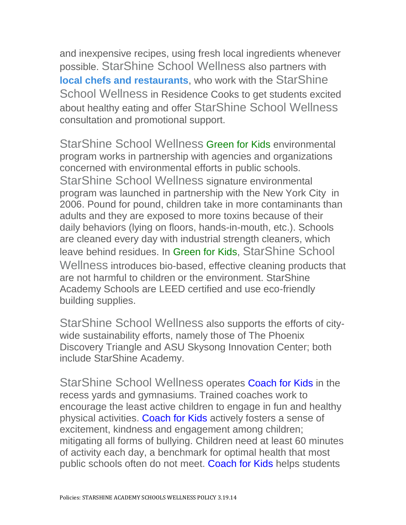and inexpensive recipes, using fresh local ingredients whenever possible. StarShine School Wellness also partners with **[local chefs and](http://wellnessintheschools.org/index.php/community#res_affiliates) restaurants**, who work with the StarShine School Wellness in Residence Cooks to get students excited about healthy eating and offer StarShine School Wellness consultation and promotional support.

StarShine School Wellness Green for Kids environmental program works in partnership with agencies and organizations concerned with environmental efforts in public schools. StarShine School Wellness signature environmental program was launched in partnership with the New York City in 2006. Pound for pound, children take in more contaminants than adults and they are exposed to more toxins because of their daily behaviors (lying on floors, hands-in-mouth, etc.). Schools are cleaned every day with industrial strength cleaners, which leave behind residues. In Green for Kids, StarShine School Wellness introduces bio-based, effective cleaning products that are not harmful to children or the environment. StarShine Academy Schools are LEED certified and use eco-friendly building supplies.

StarShine School Wellness also supports the efforts of citywide sustainability efforts, namely those of The Phoenix Discovery Triangle and ASU Skysong Innovation Center; both include StarShine Academy.

StarShine School Wellness operates Coach for Kids in the recess yards and gymnasiums. Trained coaches work to encourage the least active children to engage in fun and healthy physical activities. Coach for Kids actively fosters a sense of excitement, kindness and engagement among children; mitigating all forms of bullying. Children need at least 60 minutes of activity each day, a benchmark for optimal health that most public schools often do not meet. Coach for Kids helps students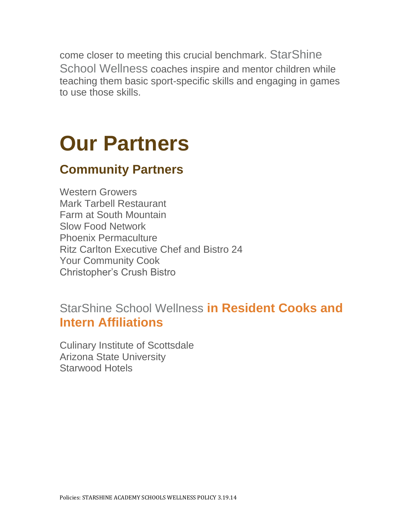come closer to meeting this crucial benchmark. StarShine School Wellness coaches inspire and mentor children while teaching them basic sport-specific skills and engaging in games to use those skills.

## **Our Partners**

### **Community Partners**

Western Growers Mark Tarbell Restaurant Farm at South Mountain Slow Food Network Phoenix Permaculture Ritz Carlton Executive Chef and Bistro 24 Your Community Cook Christopher's Crush Bistro

StarShine School Wellness **in Resident Cooks and Intern Affiliations**

Culinary Institute of Scottsdale Arizona State University Starwood Hotels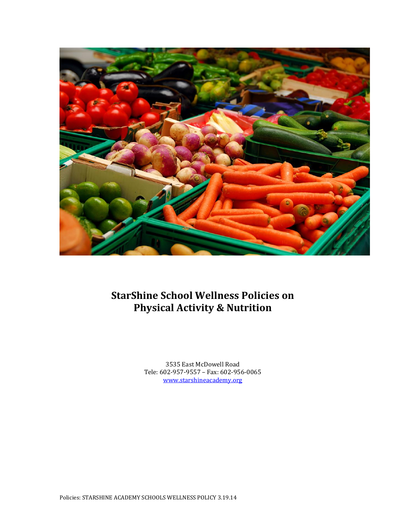

### **StarShine School Wellness Policies on Physical Activity & Nutrition**

3535 East McDowell Road Tele: 602-957-9557 – Fax: 602-956-0065 [www.starshineacademy.org](http://www.starshineacademy.org/)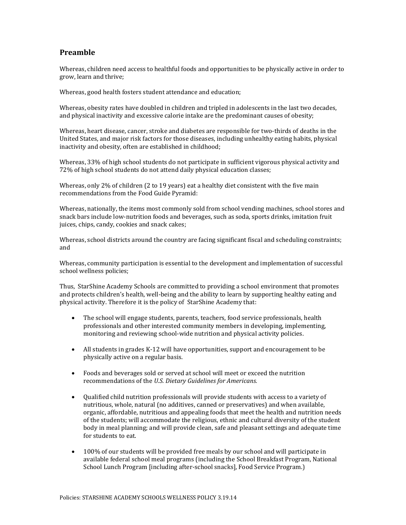#### **Preamble**

Whereas, children need access to healthful foods and opportunities to be physically active in order to grow, learn and thrive;

Whereas, good health fosters student attendance and education;

Whereas, obesity rates have doubled in children and tripled in adolescents in the last two decades, and physical inactivity and excessive calorie intake are the predominant causes of obesity;

Whereas, heart disease, cancer, stroke and diabetes are responsible for two-thirds of deaths in the United States, and major risk factors for those diseases, including unhealthy eating habits, physical inactivity and obesity, often are established in childhood;

Whereas, 33% of high school students do not participate in sufficient vigorous physical activity and 72% of high school students do not attend daily physical education classes;

Whereas, only 2% of children (2 to 19 years) eat a healthy diet consistent with the five main recommendations from the Food Guide Pyramid:

Whereas, nationally, the items most commonly sold from school vending machines, school stores and snack bars include low-nutrition foods and beverages, such as soda, sports drinks, imitation fruit juices, chips, candy, cookies and snack cakes;

Whereas, school districts around the country are facing significant fiscal and scheduling constraints; and

Whereas, community participation is essential to the development and implementation of successful school wellness policies;

Thus, StarShine Academy Schools are committed to providing a school environment that promotes and protects children's health, well-being and the ability to learn by supporting healthy eating and physical activity. Therefore it is the policy of StarShine Academy that:

- The school will engage students, parents, teachers, food service professionals, health professionals and other interested community members in developing, implementing, monitoring and reviewing school-wide nutrition and physical activity policies.
- All students in grades K-12 will have opportunities, support and encouragement to be physically active on a regular basis.
- Foods and beverages sold or served at school will meet or exceed the nutrition recommendations of the *U.S. Dietary Guidelines for Americans.*
- Qualified child nutrition professionals will provide students with access to a variety of nutritious, whole, natural (no additives, canned or preservatives) and when available, organic, affordable, nutritious and appealing foods that meet the health and nutrition needs of the students; will accommodate the religious, ethnic and cultural diversity of the student body in meal planning; and will provide clean, safe and pleasant settings and adequate time for students to eat.
- 100% of our students will be provided free meals by our school and will participate in available federal school meal programs (including the School Breakfast Program, National School Lunch Program [including after-school snacks], Food Service Program.)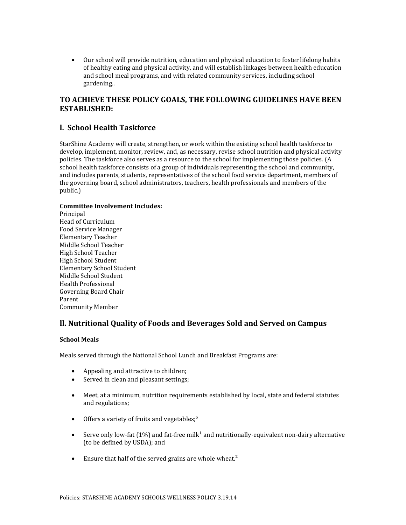Our school will provide nutrition, education and physical education to foster lifelong habits of healthy eating and physical activity, and will establish linkages between health education and school meal programs, and with related community services, including school gardening..

#### **TO ACHIEVE THESE POLICY GOALS, THE FOLLOWING GUIDELINES HAVE BEEN ESTABLISHED:**

#### **l. School Health Taskforce**

StarShine Academy will create, strengthen, or work within the existing school health taskforce to develop, implement, monitor, review, and, as necessary, revise school nutrition and physical activity policies. The taskforce also serves as a resource to the school for implementing those policies. (A school health taskforce consists of a group of individuals representing the school and community, and includes parents, students, representatives of the school food service department, members of the governing board, school administrators, teachers, health professionals and members of the public.)

#### **Committee Involvement Includes:**

**Principal** Head of Curriculum Food Service Manager Elementary Teacher Middle School Teacher High School Teacher High School Student Elementary School Student Middle School Student Health Professional Governing Board Chair Parent Community Member

#### **ll. Nutritional Quality of Foods and Beverages Sold and Served on Campus**

#### **School Meals**

Meals served through the National School Lunch and Breakfast Programs are:

- Appealing and attractive to children;
- Served in clean and pleasant settings;
- Meet, at a minimum, nutrition requirements established by local, state and federal statutes and regulations;
- Offers a variety of fruits and vegetables;<sup>°</sup>
- Serve only low-fat (1%) and fat-free milk<sup>1</sup> and nutritionally-equivalent non-dairy alternative (to be defined by USDA); and
- $\bullet$  Ensure that half of the served grains are whole wheat.<sup>2</sup>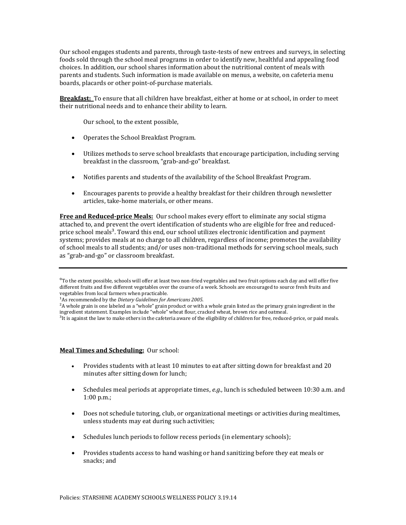Our school engages students and parents, through taste-tests of new entrees and surveys, in selecting foods sold through the school meal programs in order to identify new, healthful and appealing food choices. In addition, our school shares information about the nutritional content of meals with parents and students. Such information is made available on menus, a website, on cafeteria menu boards, placards or other point-of-purchase materials.

**Breakfast:** To ensure that all children have breakfast, either at home or at school, in order to meet their nutritional needs and to enhance their ability to learn.

Our school, to the extent possible,

- Operates the School Breakfast Program.
- Utilizes methods to serve school breakfasts that encourage participation, including serving breakfast in the classroom, "grab-and-go" breakfast.
- Notifies parents and students of the availability of the School Breakfast Program.
- Encourages parents to provide a healthy breakfast for their children through newsletter articles, take-home materials, or other means.

**Free and Reduced-price Meals:** Our school makes every effort to eliminate any social stigma attached to, and prevent the overt identification of students who are eligible for free and reducedprice school meals<sup>3</sup>. Toward this end, our school utilizes electronic identification and payment systems; provides meals at no charge to all children, regardless of income; promotes the availability of school meals to all students; and/or uses non-traditional methods for serving school meals, such as "grab-and-go" or classroom breakfast.

#### **Meal Times and Scheduling:** Our school:

- Provides students with at least 10 minutes to eat after sitting down for breakfast and 20 minutes after sitting down for lunch;
- Schedules meal periods at appropriate times, *e.g.,* lunch is scheduled between 10:30 a.m. and 1:00 p.m.;
- Does not schedule tutoring, club, or organizational meetings or activities during mealtimes, unless students may eat during such activities;
- Schedules lunch periods to follow recess periods (in elementary schools);
- Provides students access to hand washing or hand sanitizing before they eat meals or snacks; and

<sup>°</sup>To the extent possible, schools will offer at least two non-fried vegetables and two fruit options each day and will offer five different fruits and five different vegetables over the course of a week. Schools are encouraged to source fresh fruits and vegetables from local farmers when practicable.

<sup>&</sup>lt;sup>1</sup>As recommended by the *Dietary Guidelines for Americans 2005*.

<sup>&</sup>lt;sup>2</sup>A whole grain is one labeled as a "whole" grain product or with a whole grain listed as the primary grain ingredient in the ingredient statement. Examples include "whole" wheat flour, cracked wheat, brown rice and oatmeal.

<sup>&</sup>lt;sup>3</sup>It is against the law to make others in the cafeteria aware of the eligibility of children for free, reduced-price, or paid meals.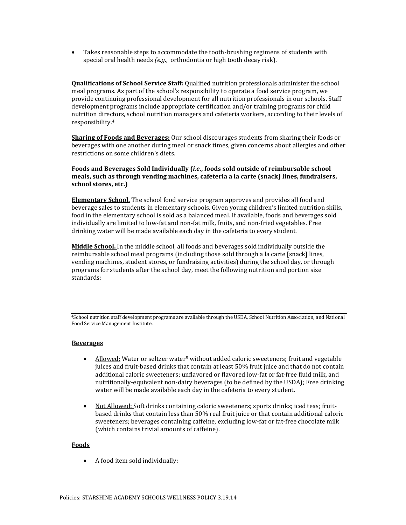Takes reasonable steps to accommodate the tooth-brushing regimens of students with special oral health needs *(e.g*., orthodontia or high tooth decay risk).

**Qualifications of School Service Staff:** Qualified nutrition professionals administer the school meal programs. As part of the school's responsibility to operate a food service program, we provide continuing professional development for all nutrition professionals in our schools. Staff development programs include appropriate certification and/or training programs for child nutrition directors, school nutrition managers and cafeteria workers, according to their levels of responsibility.<sup>4</sup>

**Sharing of Foods and Beverages:** Our school discourages students from sharing their foods or beverages with one another during meal or snack times, given concerns about allergies and other restrictions on some children's diets.

#### **Foods and Beverages Sold Individually (***i.e***., foods sold outside of reimbursable school meals, such as through vending machines, cafeteria a la carte (snack) lines, fundraisers, school stores, etc.)**

**Elementary School.** The school food service program approves and provides all food and beverage sales to students in elementary schools. Given young children's limited nutrition skills, food in the elementary school is sold as a balanced meal. If available, foods and beverages sold individually are limited to low-fat and non-fat milk, fruits, and non-fried vegetables. Free drinking water will be made available each day in the cafeteria to every student.

**Middle School.** In the middle school, all foods and beverages sold individually outside the reimbursable school meal programs (including those sold through a la carte [snack] lines, vending machines, student stores, or fundraising activities) during the school day, or through programs for students after the school day, meet the following nutrition and portion size standards:

<sup>4</sup>School nutrition staff development programs are available through the USDA, School Nutrition Association, and National Food Service Management Institute.

#### **Beverages**

- Allowed: Water or seltzer water<sup>5</sup> without added caloric sweeteners; fruit and vegetable juices and fruit-based drinks that contain at least 50% fruit juice and that do not contain additional caloric sweeteners; unflavored or flavored low-fat or fat-free fluid milk, and nutritionally-equivalent non-dairy beverages (to be defined by the USDA); Free drinking water will be made available each day in the cafeteria to every student.
- Not Allowed: Soft drinks containing caloric sweeteners; sports drinks; iced teas; fruitbased drinks that contain less than 50% real fruit juice or that contain additional caloric sweeteners; beverages containing caffeine, excluding low-fat or fat-free chocolate milk (which contains trivial amounts of caffeine).

#### **Foods**

• A food item sold individually: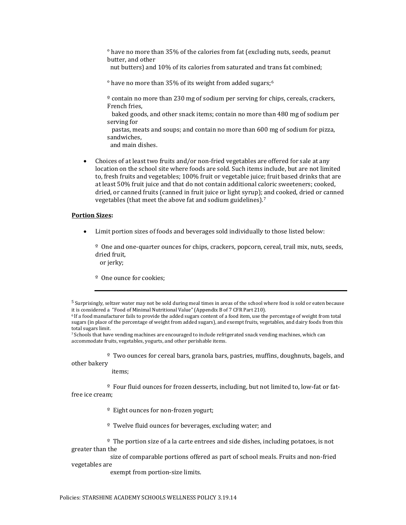° have no more than 35% of the calories from fat (excluding nuts, seeds, peanut butter, and other

nut butters) and 10% of its calories from saturated and trans fat combined;

° have no more than 35% of its weight from added sugars;<sup>6</sup>

 $\degree$  contain no more than 230 mg of sodium per serving for chips, cereals, crackers, French fries,

 baked goods, and other snack items; contain no more than 480 mg of sodium per serving for

 pastas, meats and soups; and contain no more than 600 mg of sodium for pizza, sandwiches,

and main dishes.

 Choices of at least two fruits and/or non-fried vegetables are offered for sale at any location on the school site where foods are sold. Such items include, but are not limited to, fresh fruits and vegetables; 100% fruit or vegetable juice; fruit based drinks that are at least 50% fruit juice and that do not contain additional caloric sweeteners; cooked, dried, or canned fruits (canned in fruit juice or light syrup); and cooked, dried or canned vegetables (that meet the above fat and sodium guidelines).<sup>7</sup>

#### **Portion Sizes:**

Limit portion sizes of foods and beverages sold individually to those listed below:

º One and one-quarter ounces for chips, crackers, popcorn, cereal, trail mix, nuts, seeds, dried fruit,

or jerky;

<sup>o</sup> One ounce for cookies;

º Two ounces for cereal bars, granola bars, pastries, muffins, doughnuts, bagels, and other bakery

items;

 $\degree$  Four fluid ounces for frozen desserts, including, but not limited to, low-fat or fatfree ice cream;

º Eight ounces for non-frozen yogurt;

<sup>o</sup> Twelve fluid ounces for beverages, excluding water; and

 $\degree$  The portion size of a la carte entrees and side dishes, including potatoes, is not greater than the

 size of comparable portions offered as part of school meals. Fruits and non-fried vegetables are

exempt from portion-size limits.

<sup>5</sup> Surprisingly, seltzer water may not be sold during meal times in areas of the school where food is sold or eaten because it is considered a "Food of Minimal Nutritional Value" (Appendix B of 7 CFR Part 210).

<sup>6</sup> If a food manufacturer fails to provide the added sugars content of a food item, use the percentage of weight from total sugars (in place of the percentage of weight from added sugars), and exempt fruits, vegetables, and dairy foods from this total sugars limit.

<sup>7</sup> Schools that have vending machines are encouraged to include refrigerated snack vending machines, which can accommodate fruits, vegetables, yogurts, and other perishable items.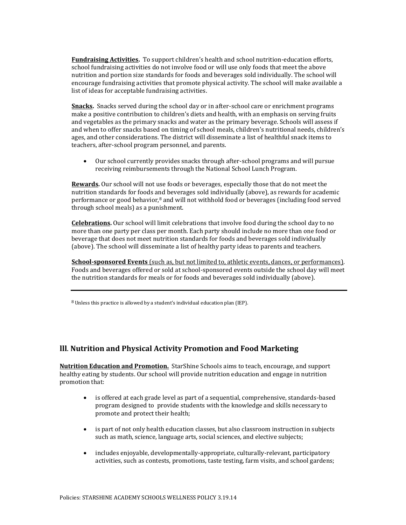**Fundraising Activities.** To support children's health and school nutrition-education efforts, school fundraising activities do not involve food or will use only foods that meet the above nutrition and portion size standards for foods and beverages sold individually. The school will encourage fundraising activities that promote physical activity. The school will make available a list of ideas for acceptable fundraising activities.

**Snacks.** Snacks served during the school day or in after-school care or enrichment programs make a positive contribution to children's diets and health, with an emphasis on serving fruits and vegetables as the primary snacks and water as the primary beverage. Schools will assess if and when to offer snacks based on timing of school meals, children's nutritional needs, children's ages, and other considerations. The district will disseminate a list of healthful snack items to teachers, after-school program personnel, and parents.

 Our school currently provides snacks through after-school programs and will pursue receiving reimbursements through the National School Lunch Program.

**Rewards.** Our school will not use foods or beverages, especially those that do not meet the nutrition standards for foods and beverages sold individually (above), as rewards for academic performance or good behavior,<sup>8</sup> and will not withhold food or beverages (including food served through school meals) as a punishment.

**Celebrations.** Our school will limit celebrations that involve food during the school day to no more than one party per class per month. Each party should include no more than one food or beverage that does not meet nutrition standards for foods and beverages sold individually (above). The school will disseminate a list of healthy party ideas to parents and teachers.

**School-sponsored Events** (such as, but not limited to, athletic events, dances, or performances). Foods and beverages offered or sold at school-sponsored events outside the school day will meet the nutrition standards for meals or for foods and beverages sold individually (above).

 $8$  Unless this practice is allowed by a student's individual education plan (IEP).

#### **lll**. **Nutrition and Physical Activity Promotion and Food Marketing**

**Nutrition Education and Promotion.** StarShine Schools aims to teach, encourage, and support healthy eating by students. Our school will provide nutrition education and engage in nutrition promotion that:

- is offered at each grade level as part of a sequential, comprehensive, standards-based program designed to provide students with the knowledge and skills necessary to promote and protect their health;
- is part of not only health education classes, but also classroom instruction in subjects such as math, science, language arts, social sciences, and elective subjects;
- includes enjoyable, developmentally-appropriate, culturally-relevant, participatory activities, such as contests, promotions, taste testing, farm visits, and school gardens;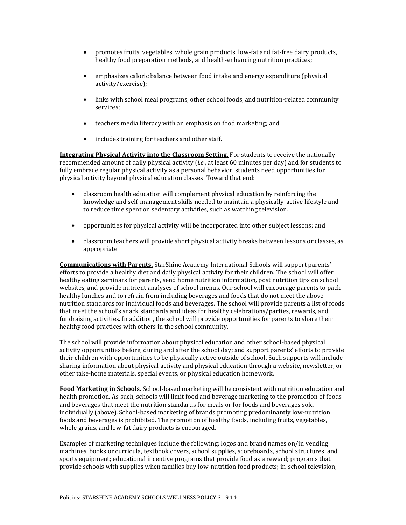- promotes fruits, vegetables, whole grain products, low-fat and fat-free dairy products, healthy food preparation methods, and health-enhancing nutrition practices;
- emphasizes caloric balance between food intake and energy expenditure (physical activity/exercise);
- links with school meal programs, other school foods, and nutrition-related community services;
- teachers media literacy with an emphasis on food marketing; and
- includes training for teachers and other staff.

**Integrating Physical Activity into the Classroom Setting.** For students to receive the nationallyrecommended amount of daily physical activity (*i.e.*, at least 60 minutes per day) and for students to fully embrace regular physical activity as a personal behavior, students need opportunities for physical activity beyond physical education classes. Toward that end:

- classroom health education will complement physical education by reinforcing the knowledge and self-management skills needed to maintain a physically-active lifestyle and to reduce time spent on sedentary activities, such as watching television.
- opportunities for physical activity will be incorporated into other subject lessons; and
- classroom teachers will provide short physical activity breaks between lessons or classes, as appropriate.

**Communications with Parents.** StarShine Academy International Schools will support parents' efforts to provide a healthy diet and daily physical activity for their children. The school will offer healthy eating seminars for parents, send home nutrition information, post nutrition tips on school websites, and provide nutrient analyses of school menus. Our school will encourage parents to pack healthy lunches and to refrain from including beverages and foods that do not meet the above nutrition standards for individual foods and beverages. The school will provide parents a list of foods that meet the school's snack standards and ideas for healthy celebrations/parties, rewards, and fundraising activities. In addition, the school will provide opportunities for parents to share their healthy food practices with others in the school community.

The school will provide information about physical education and other school-based physical activity opportunities before, during and after the school day; and support parents' efforts to provide their children with opportunities to be physically active outside of school. Such supports will include sharing information about physical activity and physical education through a website, newsletter, or other take-home materials, special events, or physical education homework.

**Food Marketing in Schools.** School-based marketing will be consistent with nutrition education and health promotion. As such, schools will limit food and beverage marketing to the promotion of foods and beverages that meet the nutrition standards for meals or for foods and beverages sold individually (above). School-based marketing of brands promoting predominantly low-nutrition foods and beverages is prohibited. The promotion of healthy foods, including fruits, vegetables, whole grains, and low-fat dairy products is encouraged.

Examples of marketing techniques include the following: logos and brand names on/in vending machines, books or curricula, textbook covers, school supplies, scoreboards, school structures, and sports equipment; educational incentive programs that provide food as a reward; programs that provide schools with supplies when families buy low-nutrition food products; in-school television,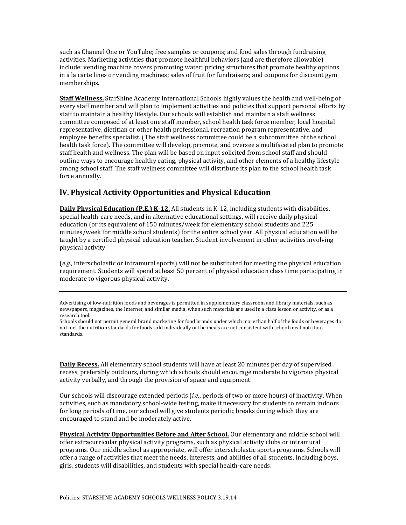such as Channel One or YouTube; free samples or coupons; and food sales through fundraising activities. Marketing activities that promote healthful behaviors (and are therefore allowable) include: vending machine covers promoting water; pricing structures that promote healthy options in a la carte lines or vending machines; sales of fruit for fundraisers; and coupons for discount gym memberships.

**Staff Wellness.** StarShine Academy International Schools highly values the health and well-being of every staff member and will plan to implement activities and policies that support personal efforts by staff to maintain a healthy lifestyle. Our schools will establish and maintain a staff wellness committee composed of at least one staff member, school health task force member, local hospital representative, dietitian or other health professional, recreation program representative, and employee benefits specialist. (The staff wellness committee could be a subcommittee of the school health task force). The committee will develop, promote, and oversee a multifaceted plan to promote staff health and wellness. The plan will be based on input solicited from school staff and should outline ways to encourage healthy eating, physical activity, and other elements of a healthy lifestyle among school staff. The staff wellness committee will distribute its plan to the school health task force annually.

#### **lV. Physical Activity Opportunities and Physical Education**

**Daily Physical Education (P.E.) K-12.** All students in K-12, including students with disabilities, special health-care needs, and in alternative educational settings, will receive daily physical education (or its equivalent of 150 minutes/week for elementary school students and 225 minutes/week for middle school students) for the entire school year. All physical education will be taught by a certified physical education teacher. Student involvement in other activities involving physical activity.

(*e.g.,* interscholastic or intramural sports) will not be substituted for meeting the physical education requirement. Students will spend at least 50 percent of physical education class time participating in moderate to vigorous physical activity.

**Daily Recess.** All elementary school students will have at least 20 minutes per day of supervised recess, preferably outdoors, during which schools should encourage moderate to vigorous physical activity verbally, and through the provision of space and equipment.

Our schools will discourage extended periods (*i.e.*, periods of two or more hours) of inactivity. When activities, such as mandatory school-wide testing, make it necessary for students to remain indoors for long periods of time, our school will give students periodic breaks during which they are encouraged to stand and be moderately active.

**Physical Activity Opportunities Before and After School.** Our elementary and middle school will offer extracurricular physical activity programs, such as physical activity clubs or intramural programs. Our middle school as appropriate, will offer interscholastic sports programs. Schools will offer a range of activities that meet the needs, interests, and abilities of all students, including boys, girls, students will disabilities, and students with special health-care needs.

Advertising of low-nutrition foods and beverages is permitted in supplementary classroom and library materials, such as newspapers, magazines, the Internet, and similar media, when such materials are used in a class lesson or activity, or as a research tool.

Schools should not permit general brand marketing for food brands under which more than half of the foods or beverages do not met the nutrition standards for foods sold individually or the meals are not consistent with school meal nutrition standards.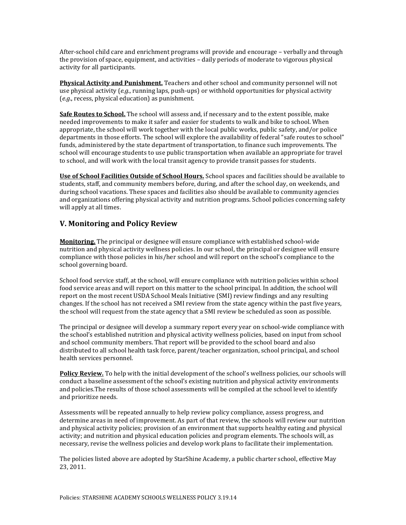After-school child care and enrichment programs will provide and encourage – verbally and through the provision of space, equipment, and activities – daily periods of moderate to vigorous physical activity for all participants.

**Physical Activity and Punishment.** Teachers and other school and community personnel will not use physical activity (*e.g*., running laps, push-ups) or withhold opportunities for physical activity (*e.g*., recess, physical education) as punishment.

**Safe Routes to School.** The school will assess and, if necessary and to the extent possible, make needed improvements to make it safer and easier for students to walk and bike to school. When appropriate, the school will work together with the local public works, public safety, and/or police departments in those efforts. The school will explore the availability of federal "safe routes to school" funds, administered by the state department of transportation, to finance such improvements. The school will encourage students to use public transportation when available an appropriate for travel to school, and will work with the local transit agency to provide transit passes for students.

**Use of School Facilities Outside of School Hours.** School spaces and facilities should be available to students, staff, and community members before, during, and after the school day, on weekends, and during school vacations. These spaces and facilities also should be available to community agencies and organizations offering physical activity and nutrition programs. School policies concerning safety will apply at all times.

#### **V. Monitoring and Policy Review**

**Monitoring.** The principal or designee will ensure compliance with established school-wide nutrition and physical activity wellness policies. In our school, the principal or designee will ensure compliance with those policies in his/her school and will report on the school's compliance to the school governing board.

School food service staff, at the school, will ensure compliance with nutrition policies within school food service areas and will report on this matter to the school principal. In addition, the school will report on the most recent USDA School Meals Initiative (SMI) review findings and any resulting changes. If the school has not received a SMI review from the state agency within the past five years, the school will request from the state agency that a SMI review be scheduled as soon as possible.

The principal or designee will develop a summary report every year on school-wide compliance with the school's established nutrition and physical activity wellness policies, based on input from school and school community members. That report will be provided to the school board and also distributed to all school health task force, parent/teacher organization, school principal, and school health services personnel.

**Policy Review.** To help with the initial development of the school's wellness policies, our schools will conduct a baseline assessment of the school's existing nutrition and physical activity environments and policies.The results of those school assessments will be compiled at the school level to identify and prioritize needs.

Assessments will be repeated annually to help review policy compliance, assess progress, and determine areas in need of improvement. As part of that review, the schools will review our nutrition and physical activity policies; provision of an environment that supports healthy eating and physical activity; and nutrition and physical education policies and program elements. The schools will, as necessary, revise the wellness policies and develop work plans to facilitate their implementation.

The policies listed above are adopted by StarShine Academy, a public charter school, effective May 23, 2011.